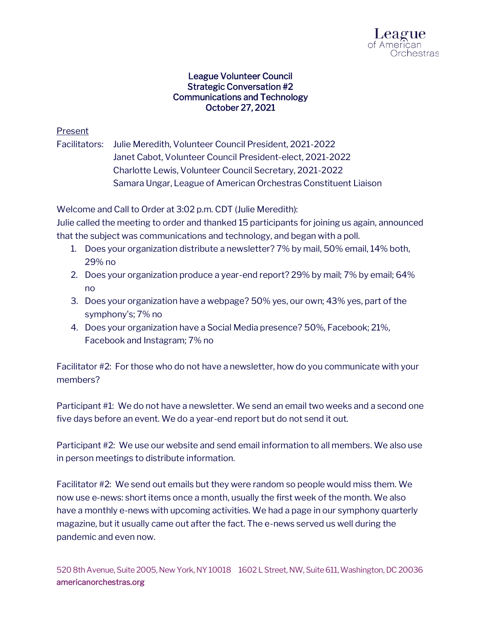

## League Volunteer Council Strategic Conversation #2 Communications and Technology October 27, 2021

## Present

Facilitators: Julie Meredith, Volunteer Council President, 2021-2022 Janet Cabot, Volunteer Council President-elect, 2021-2022 Charlotte Lewis, Volunteer Council Secretary, 2021-2022 Samara Ungar, League of American Orchestras Constituent Liaison

Welcome and Call to Order at 3:02 p.m. CDT (Julie Meredith):

Julie called the meeting to order and thanked 15 participants for joining us again, announced that the subject was communications and technology, and began with a poll.

- 1. Does your organization distribute a newsletter? 7% by mail, 50% email, 14% both, 29% no
- 2. Does your organization produce a year-end report? 29% by mail; 7% by email; 64% no
- 3. Does your organization have a webpage? 50% yes, our own; 43% yes, part of the symphony's; 7% no
- 4. Does your organization have a Social Media presence? 50%, Facebook; 21%, Facebook and Instagram; 7% no

Facilitator #2: For those who do not have a newsletter, how do you communicate with your members?

Participant #1: We do not have a newsletter. We send an email two weeks and a second one five days before an event. We do a year-end report but do not send it out.

Participant #2: We use our website and send email information to all members. We also use in person meetings to distribute information.

Facilitator #2: We send out emails but they were random so people would miss them. We now use e-news: short items once a month, usually the first week of the month. We also have a monthly e-news with upcoming activities. We had a page in our symphony quarterly magazine, but it usually came out after the fact. The e-news served us well during the pandemic and even now.

520 8th Avenue, Suite 2005, New York, NY 10018 1602 L Street, NW, Suite 611, Washington, DC 20036 americanorchestras.org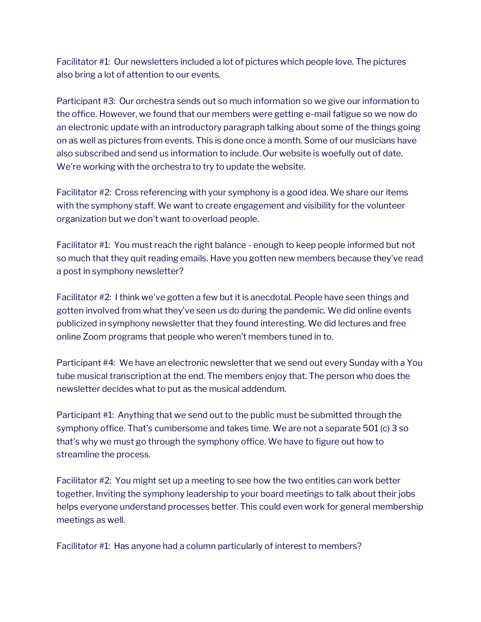Facilitator #1: Our newsletters included a lot of pictures which people love. The pictures also bring a lot of attention to our events.

Participant #3: Our orchestra sends out so much information so we give our information to the office. However, we found that our members were getting e-mail fatigue so we now do an electronic update with an introductory paragraph talking about some of the things going on as well as pictures from events. This is done once a month. Some of our musicians have also subscribed and send us information to include. Our website is woefully out of date. We're working with the orchestra to try to update the website.

Facilitator #2: Cross referencing with your symphony is a good idea. We share our items with the symphony staff. We want to create engagement and visibility for the volunteer organization but we don't want to overload people.

Facilitator #1: You must reach the right balance - enough to keep people informed but not so much that they quit reading emails. Have you gotten new members because they've read a post in symphony newsletter?

Facilitator #2: I think we've gotten a few but it is anecdotal. People have seen things and gotten involved from what they've seen us do during the pandemic. We did online events publicized in symphony newsletter that they found interesting. We did lectures and free online Zoom programs that people who weren't members tuned in to.

Participant #4: We have an electronic newsletter that we send out every Sunday with a You tube musical transcription at the end. The members enjoy that. The person who does the newsletter decides what to put as the musical addendum.

Participant #1: Anything that we send out to the public must be submitted through the symphony office. That's cumbersome and takes time. We are not a separate 501 (c) 3 so that's why we must go through the symphony office. We have to figure out how to streamline the process.

Facilitator #2: You might set up a meeting to see how the two entities can work better together. Inviting the symphony leadership to your board meetings to talk about their jobs helps everyone understand processes better. This could even work for general membership meetings as well.

Facilitator #1: Has anyone had a column particularly of interest to members?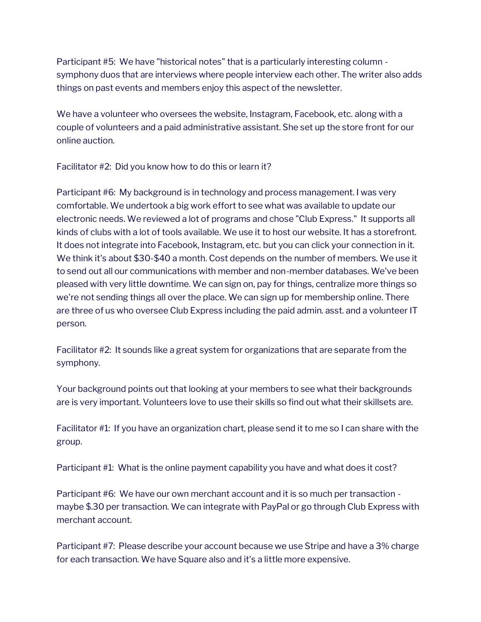Participant #5: We have "historical notes" that is a particularly interesting column symphony duos that are interviews where people interview each other. The writer also adds things on past events and members enjoy this aspect of the newsletter.

We have a volunteer who oversees the website, Instagram, Facebook, etc. along with a couple of volunteers and a paid administrative assistant. She set up the store front for our online auction.

Facilitator #2: Did you know how to do this or learn it?

Participant #6: My background is in technology and process management. I was very comfortable. We undertook a big work effort to see what was available to update our electronic needs. We reviewed a lot of programs and chose "Club Express." It supports all kinds of clubs with a lot of tools available. We use it to host our website. It has a storefront. It does not integrate into Facebook, Instagram, etc. but you can click your connection in it. We think it's about \$30-\$40 a month. Cost depends on the number of members. We use it to send out all our communications with member and non-member databases. We've been pleased with very little downtime. We can sign on, pay for things, centralize more things so we're not sending things all over the place. We can sign up for membership online. There are three of us who oversee Club Express including the paid admin. asst. and a volunteer IT person.

Facilitator #2: It sounds like a great system for organizations that are separate from the symphony.

Your background points out that looking at your members to see what their backgrounds are is very important. Volunteers love to use their skills so find out what their skillsets are.

Facilitator #1: If you have an organization chart, please send it to me so I can share with the group.

Participant #1: What is the online payment capability you have and what does it cost?

Participant #6: We have our own merchant account and it is so much per transaction maybe \$.30 per transaction. We can integrate with PayPal or go through Club Express with merchant account.

Participant #7: Please describe your account because we use Stripe and have a 3% charge for each transaction. We have Square also and it's a little more expensive.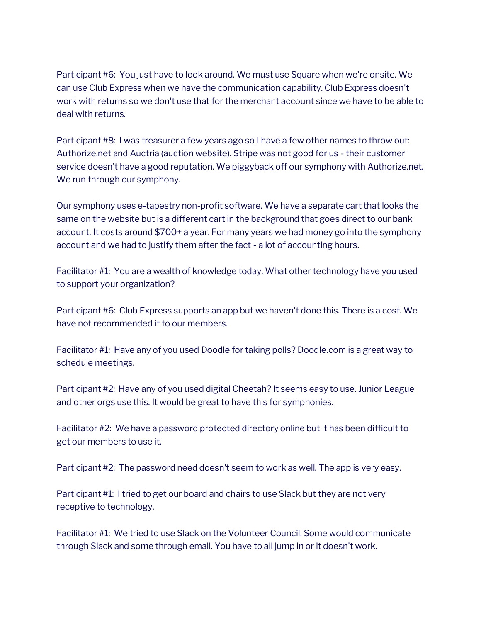Participant #6: You just have to look around. We must use Square when we're onsite. We can use Club Express when we have the communication capability. Club Express doesn't work with returns so we don't use that for the merchant account since we have to be able to deal with returns.

Participant #8: I was treasurer a few years ago so I have a few other names to throw out: Authorize.net and Auctria (auction website). Stripe was not good for us - their customer service doesn't have a good reputation. We piggyback off our symphony with Authorize.net. We run through our symphony.

Our symphony uses e-tapestry non-profit software. We have a separate cart that looks the same on the website but is a different cart in the background that goes direct to our bank account. It costs around \$700+ a year. For many years we had money go into the symphony account and we had to justify them after the fact - a lot of accounting hours.

Facilitator #1: You are a wealth of knowledge today. What other technology have you used to support your organization?

Participant #6: Club Express supports an app but we haven't done this. There is a cost. We have not recommended it to our members.

Facilitator #1: Have any of you used Doodle for taking polls? Doodle.com is a great way to schedule meetings.

Participant #2: Have any of you used digital Cheetah? It seems easy to use. Junior League and other orgs use this. It would be great to have this for symphonies.

Facilitator #2: We have a password protected directory online but it has been difficult to get our members to use it.

Participant #2: The password need doesn't seem to work as well. The app is very easy.

Participant #1: I tried to get our board and chairs to use Slack but they are not very receptive to technology.

Facilitator #1: We tried to use Slack on the Volunteer Council. Some would communicate through Slack and some through email. You have to all jump in or it doesn't work.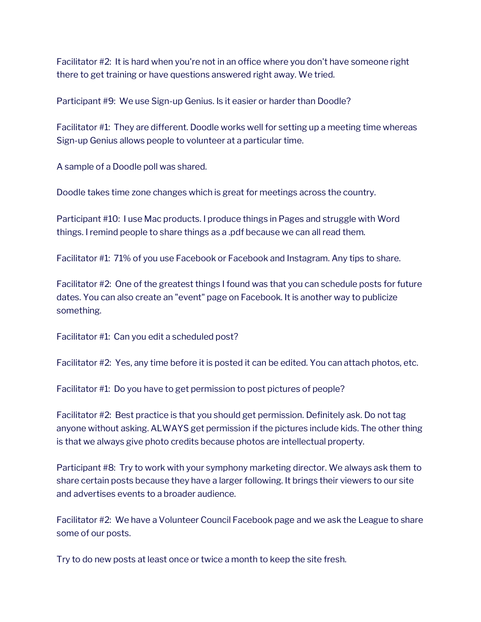Facilitator #2: It is hard when you're not in an office where you don't have someone right there to get training or have questions answered right away. We tried.

Participant #9: We use Sign-up Genius. Is it easier or harder than Doodle?

Facilitator #1: They are different. Doodle works well for setting up a meeting time whereas Sign-up Genius allows people to volunteer at a particular time.

A sample of a Doodle poll was shared.

Doodle takes time zone changes which is great for meetings across the country.

Participant #10: I use Mac products. I produce things in Pages and struggle with Word things. I remind people to share things as a .pdf because we can all read them.

Facilitator #1: 71% of you use Facebook or Facebook and Instagram. Any tips to share.

Facilitator #2: One of the greatest things I found was that you can schedule posts for future dates. You can also create an "event" page on Facebook. It is another way to publicize something.

Facilitator #1: Can you edit a scheduled post?

Facilitator #2: Yes, any time before it is posted it can be edited. You can attach photos, etc.

Facilitator #1: Do you have to get permission to post pictures of people?

Facilitator #2: Best practice is that you should get permission. Definitely ask. Do not tag anyone without asking. ALWAYS get permission if the pictures include kids. The other thing is that we always give photo credits because photos are intellectual property.

Participant #8: Try to work with your symphony marketing director. We always ask them to share certain posts because they have a larger following. It brings their viewers to our site and advertises events to a broader audience.

Facilitator #2: We have a Volunteer Council Facebook page and we ask the League to share some of our posts.

Try to do new posts at least once or twice a month to keep the site fresh.